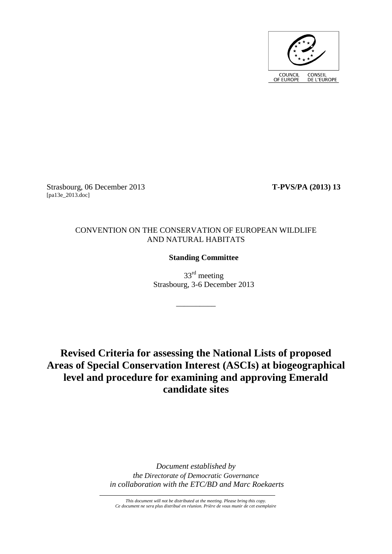

Strasbourg, 06 December 2013 **T-PVS/PA (2013) 13** [pa13e\_2013.doc]

# CONVENTION ON THE CONSERVATION OF EUROPEAN WILDLIFE AND NATURAL HABITATS

# **Standing Committee**

 $33<sup>rd</sup>$  meeting Strasbourg, 3-6 December 2013

\_\_\_\_\_\_\_\_\_\_

**Revised Criteria for assessing the National Lists of proposed Areas of Special Conservation Interest (ASCIs) at biogeographical level and procedure for examining and approving Emerald candidate sites**

> *Document established by the Directorate of Democratic Governance in collaboration with the ETC/BD and Marc Roekaerts*

*This document will not be distributed at the meeting. Please bring this copy. Ce document ne sera plus distribué en réunion. Prière de vous munir de cet exemplaire*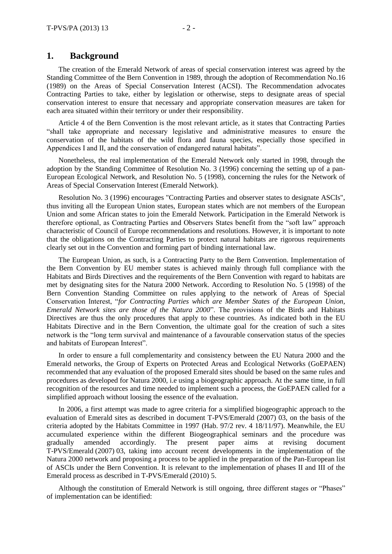# **1. Background**

The creation of the Emerald Network of areas of special conservation interest was agreed by the Standing Committee of the Bern Convention in 1989, through the adoption of Recommendation No.16 (1989) on the Areas of Special Conservation Interest (ACSI). The Recommendation advocates Contracting Parties to take, either by legislation or otherwise, steps to designate areas of special conservation interest to ensure that necessary and appropriate conservation measures are taken for each area situated within their territory or under their responsibility.

Article 4 of the Bern Convention is the most relevant article, as it states that Contracting Parties "shall take appropriate and necessary legislative and administrative measures to ensure the conservation of the habitats of the wild flora and fauna species, especially those specified in Appendices I and II, and the conservation of endangered natural habitats".

Nonetheless, the real implementation of the Emerald Network only started in 1998, through the adoption by the Standing Committee of Resolution No. 3 (1996) concerning the setting up of a pan-European Ecological Network, and Resolution No. 5 (1998), concerning the rules for the Network of Areas of Special Conservation Interest (Emerald Network).

Resolution No. 3 (1996) encourages "Contracting Parties and observer states to designate ASCIs", thus inviting all the European Union states, European states which are not members of the European Union and some African states to join the Emerald Network. Participation in the Emerald Network is therefore optional, as Contracting Parties and Observers States benefit from the "soft law" approach characteristic of Council of Europe recommendations and resolutions. However, it is important to note that the obligations on the Contracting Parties to protect natural habitats are rigorous requirements clearly set out in the Convention and forming part of binding international law.

The European Union, as such, is a Contracting Party to the Bern Convention. Implementation of the Bern Convention by EU member states is achieved mainly through full compliance with the Habitats and Birds Directives and the requirements of the Bern Convention with regard to habitats are met by designating sites for the Natura 2000 Network. According to Resolution No. 5 (1998) of the Bern Convention Standing Committee on rules applying to the network of Areas of Special Conservation Interest, "*for Contracting Parties which are Member States of the European Union, Emerald Network sites are those of the Natura 2000*". The provisions of the Birds and Habitats Directives are thus the only procedures that apply to these countries. As indicated both in the EU Habitats Directive and in the Bern Convention, the ultimate goal for the creation of such a sites network is the "long term survival and maintenance of a favourable conservation status of the species and habitats of European Interest".

In order to ensure a full complementarity and consistency between the EU Natura 2000 and the Emerald networks, the Group of Experts on Protected Areas and Ecological Networks (GoEPAEN) recommended that any evaluation of the proposed Emerald sites should be based on the same rules and procedures as developed for Natura 2000, i.e using a biogeographic approach. At the same time, in full recognition of the resources and time needed to implement such a process, the GoEPAEN called for a simplified approach without loosing the essence of the evaluation.

In 2006, a first attempt was made to agree criteria for a simplified biogeographic approach to the evaluation of Emerald sites as described in document T-PVS/Emerald (2007) 03, on the basis of the criteria adopted by the Habitats Committee in 1997 (Hab. 97/2 rev. 4 18/11/97). Meanwhile, the EU accumulated experience within the different Biogeographical seminars and the procedure was gradually amended accordingly. The present paper aims at revising document T-PVS/Emerald (2007) 03, taking into account recent developments in the implementation of the Natura 2000 network and proposing a process to be applied in the preparation of the Pan-European list of ASCIs under the Bern Convention. It is relevant to the implementation of phases II and III of the Emerald process as described in T-PVS/Emerald (2010) 5.

Although the constitution of Emerald Network is still ongoing, three different stages or "Phases" of implementation can be identified: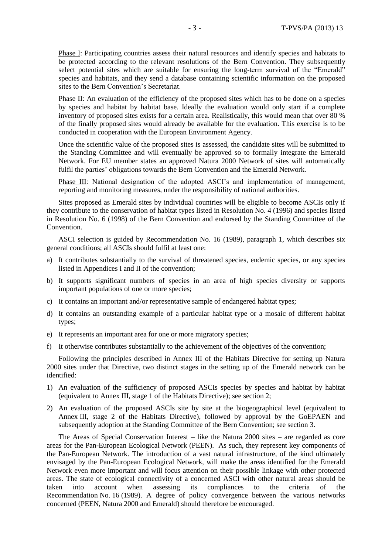Phase I: Participating countries assess their natural resources and identify species and habitats to be protected according to the relevant resolutions of the Bern Convention. They subsequently select potential sites which are suitable for ensuring the long-term survival of the "Emerald" species and habitats, and they send a database containing scientific information on the proposed sites to the Bern Convention's Secretariat.

Phase II: An evaluation of the efficiency of the proposed sites which has to be done on a species by species and habitat by habitat base. Ideally the evaluation would only start if a complete inventory of proposed sites exists for a certain area. Realistically, this would mean that over 80 % of the finally proposed sites would already be available for the evaluation. This exercise is to be conducted in cooperation with the European Environment Agency.

Once the scientific value of the proposed sites is assessed, the candidate sites will be submitted to the Standing Committee and will eventually be approved so to formally integrate the Emerald Network. For EU member states an approved Natura 2000 Network of sites will automatically fulfil the parties' obligations towards the Bern Convention and the Emerald Network.

Phase III: National designation of the adopted ASCI's and implementation of management, reporting and monitoring measures, under the responsibility of national authorities.

Sites proposed as Emerald sites by individual countries will be eligible to become ASCIs only if they contribute to the conservation of habitat types listed in Resolution No. 4 (1996) and species listed in Resolution No. 6 (1998) of the Bern Convention and endorsed by the Standing Committee of the Convention.

ASCI selection is guided by Recommendation No. 16 (1989), paragraph 1, which describes six general conditions; all ASCIs should fulfil at least one:

- a) It contributes substantially to the survival of threatened species, endemic species, or any species listed in Appendices I and II of the convention;
- b) It supports significant numbers of species in an area of high species diversity or supports important populations of one or more species;
- c) It contains an important and/or representative sample of endangered habitat types;
- d) It contains an outstanding example of a particular habitat type or a mosaic of different habitat types;
- e) It represents an important area for one or more migratory species;
- f) It otherwise contributes substantially to the achievement of the objectives of the convention;

Following the principles described in Annex III of the Habitats Directive for setting up Natura 2000 sites under that Directive, two distinct stages in the setting up of the Emerald network can be identified:

- 1) An evaluation of the sufficiency of proposed ASCIs species by species and habitat by habitat (equivalent to Annex III, stage 1 of the Habitats Directive); see section 2;
- 2) An evaluation of the proposed ASCIs site by site at the biogeographical level (equivalent to Annex III, stage 2 of the Habitats Directive), followed by approval by the GoEPAEN and subsequently adoption at the Standing Committee of the Bern Convention; see section 3.

The Areas of Special Conservation Interest – like the Natura 2000 sites – are regarded as core areas for the Pan-European Ecological Network (PEEN). As such, they represent key components of the Pan-European Network. The introduction of a vast natural infrastructure, of the kind ultimately envisaged by the Pan-European Ecological Network, will make the areas identified for the Emerald Network even more important and will focus attention on their possible linkage with other protected areas. The state of ecological connectivity of a concerned ASCI with other natural areas should be taken into account when assessing its compliances to the criteria of the Recommendation No. 16 (1989). A degree of policy convergence between the various networks concerned (PEEN, Natura 2000 and Emerald) should therefore be encouraged.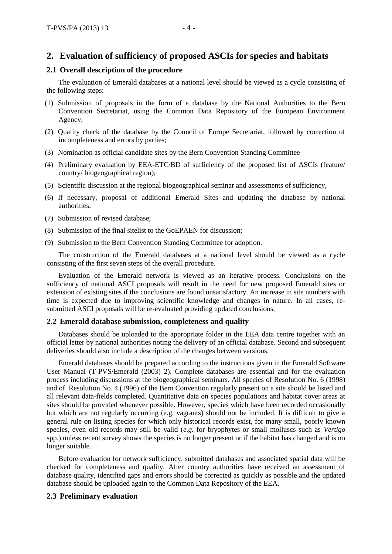# **2. Evaluation of sufficiency of proposed ASCIs for species and habitats**

### **2.1 Overall description of the procedure**

The evaluation of Emerald databases at a national level should be viewed as a cycle consisting of the following steps:

- (1) Submission of proposals in the form of a database by the National Authorities to the Bern Convention Secretariat, using the Common Data Repository of the European Environment Agency;
- (2) Quality check of the database by the Council of Europe Secretariat, followed by correction of incompleteness and errors by parties;
- (3) Nomination as official candidate sites by the Bern Convention Standing Committee
- (4) Preliminary evaluation by EEA-ETC/BD of sufficiency of the proposed list of ASCIs (feature/ country/ biogeographical region);
- (5) Scientific discussion at the regional biogeographical seminar and assessments of sufficiency,
- (6) If necessary, proposal of additional Emerald Sites and updating the database by national authorities;
- (7) Submission of revised database;
- (8) Submission of the final sitelist to the GoEPAEN for discussion;
- (9) Submission to the Bern Convention Standing Committee for adoption.

The construction of the Emerald databases at a national level should be viewed as a cycle consisting of the first seven steps of the overall procedure.

Evaluation of the Emerald network is viewed as an iterative process. Conclusions on the sufficiency of national ASCI proposals will result in the need for new proposed Emerald sites or extension of existing sites if the conclusions are found unsatisfactory. An increase in site numbers with time is expected due to improving scientific knowledge and changes in nature. In all cases, resubmitted ASCI proposals will be re-evaluated providing updated conclusions.

### **2.2 Emerald database submission, completeness and quality**

Databases should be uploaded to the appropriate folder in the EEA data centre together with an official letter by national authorities noting the delivery of an official database. Second and subsequent deliveries should also include a description of the changes between versions.

Emerald databases should be prepared according to the instructions given in the Emerald Software User Manual (T-PVS/Emerald (2003) 2). Complete databases are essential and for the evaluation process including discussions at the biogeographical seminars. All species of Resolution No. 6 (1998) and of Resolution No. 4 (1996) of the Bern Convention regularly present on a site should be listed and all relevant data-fields completed. Quantitative data on species populations and habitat cover areas at sites should be provided whenever possible. However, species which have been recorded occasionally but which are not regularly occurring (e.g. vagrants) should not be included. It is difficult to give a general rule on listing species for which only historical records exist, for many small, poorly known species, even old records may still be valid (*e.g.* for bryophytes or small molluscs such as *Vertigo*  spp.) unless recent survey shows the species is no longer present or if the habitat has changed and is no longer suitable.

Before evaluation for network sufficiency, submitted databases and associated spatial data will be checked for completeness and quality. After country authorities have received an assessment of database quality, identified gaps and errors should be corrected as quickly as possible and the updated database should be uploaded again to the Common Data Repository of the EEA.

### **2.3 Preliminary evaluation**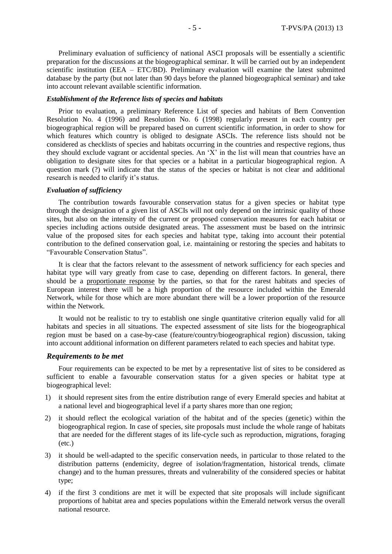Preliminary evaluation of sufficiency of national ASCI proposals will be essentially a scientific preparation for the discussions at the biogeographical seminar. It will be carried out by an independent scientific institution (EEA – ETC/BD). Preliminary evaluation will examine the latest submitted database by the party (but not later than 90 days before the planned biogeographical seminar) and take into account relevant available scientific information.

#### *Establishment of the Reference lists of species and habitats*

Prior to evaluation, a preliminary Reference List of species and habitats of Bern Convention Resolution No. 4 (1996) and Resolution No. 6 (1998) regularly present in each country per biogeographical region will be prepared based on current scientific information, in order to show for which features which country is obliged to designate ASCIs. The reference lists should not be considered as checklists of species and habitats occurring in the countries and respective regions, thus they should exclude vagrant or accidental species. An 'X' in the list will mean that countries have an obligation to designate sites for that species or a habitat in a particular biogeographical region. A question mark (?) will indicate that the status of the species or habitat is not clear and additional research is needed to clarify it's status.

#### *Evaluation of sufficiency*

The contribution towards favourable conservation status for a given species or habitat type through the designation of a given list of ASCIs will not only depend on the intrinsic quality of those sites, but also on the intensity of the current or proposed conservation measures for each habitat or species including actions outside designated areas. The assessment must be based on the intrinsic value of the proposed sites for each species and habitat type, taking into account their potential contribution to the defined conservation goal, i.e. maintaining or restoring the species and habitats to "Favourable Conservation Status".

It is clear that the factors relevant to the assessment of network sufficiency for each species and habitat type will vary greatly from case to case, depending on different factors. In general, there should be a proportionate response by the parties, so that for the rarest habitats and species of European interest there will be a high proportion of the resource included within the Emerald Network, while for those which are more abundant there will be a lower proportion of the resource within the Network.

It would not be realistic to try to establish one single quantitative criterion equally valid for all habitats and species in all situations. The expected assessment of site lists for the biogeographical region must be based on a case-by-case (feature/country/biogeographical region) discussion, taking into account additional information on different parameters related to each species and habitat type.

#### *Requirements to be met*

Four requirements can be expected to be met by a representative list of sites to be considered as sufficient to enable a favourable conservation status for a given species or habitat type at biogeographical level:

- 1) it should represent sites from the entire distribution range of every Emerald species and habitat at a national level and biogeographical level if a party shares more than one region;
- 2) it should reflect the ecological variation of the habitat and of the species (genetic) within the biogeographical region. In case of species, site proposals must include the whole range of habitats that are needed for the different stages of its life-cycle such as reproduction, migrations, foraging (etc.)
- 3) it should be well-adapted to the specific conservation needs, in particular to those related to the distribution patterns (endemicity, degree of isolation/fragmentation, historical trends, climate change) and to the human pressures, threats and vulnerability of the considered species or habitat type;
- 4) if the first 3 conditions are met it will be expected that site proposals will include significant proportions of habitat area and species populations within the Emerald network versus the overall national resource.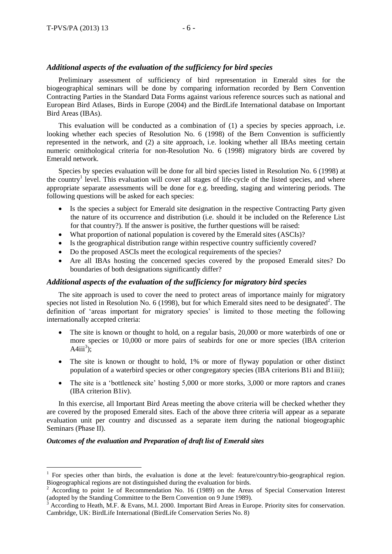## *Additional aspects of the evaluation of the sufficiency for bird species*

Preliminary assessment of sufficiency of bird representation in Emerald sites for the biogeographical seminars will be done by comparing information recorded by Bern Convention Contracting Parties in the Standard Data Forms against various reference sources such as national and European Bird Atlases, Birds in Europe (2004) and the BirdLife International database on Important Bird Areas (IBAs).

This evaluation will be conducted as a combination of (1) a species by species approach, i.e. looking whether each species of Resolution No. 6 (1998) of the Bern Convention is sufficiently represented in the network, and (2) a site approach, i.e. looking whether all IBAs meeting certain numeric ornithological criteria for non-Resolution No. 6 (1998) migratory birds are covered by Emerald network.

Species by species evaluation will be done for all bird species listed in Resolution No. 6 (1998) at the country<sup>1</sup> level. This evaluation will cover all stages of life-cycle of the listed species, and where appropriate separate assessments will be done for e.g. breeding, staging and wintering periods. The following questions will be asked for each species:

- Is the species a subject for Emerald site designation in the respective Contracting Party given the nature of its occurrence and distribution (i.e. should it be included on the Reference List for that country?). If the answer is positive, the further questions will be raised:
- What proportion of national population is covered by the Emerald sites (ASCIs)?
- Is the geographical distribution range within respective country sufficiently covered?
- Do the proposed ASCIs meet the ecological requirements of the species?
- Are all IBAs hosting the concerned species covered by the proposed Emerald sites? Do boundaries of both designations significantly differ?

# *Additional aspects of the evaluation of the sufficiency for migratory bird species*

The site approach is used to cover the need to protect areas of importance mainly for migratory species not listed in Resolution No. 6 (1998), but for which Emerald sites need to be designated<sup>2</sup>. The definition of 'areas important for migratory species' is limited to those meeting the following internationally accepted criteria:

- The site is known or thought to hold, on a regular basis, 20,000 or more waterbirds of one or more species or 10,000 or more pairs of seabirds for one or more species (IBA criterion A4iii<sup>3</sup>);
- The site is known or thought to hold, 1% or more of flyway population or other distinct population of a waterbird species or other congregatory species (IBA criterions B1i and B1iii);
- The site is a 'bottleneck site' hosting 5,000 or more storks, 3,000 or more raptors and cranes (IBA criterion B1iv).

In this exercise, all Important Bird Areas meeting the above criteria will be checked whether they are covered by the proposed Emerald sites. Each of the above three criteria will appear as a separate evaluation unit per country and discussed as a separate item during the national biogeographic Seminars (Phase II).

### *Outcomes of the evaluation and Preparation of draft list of Emerald sites*

 $\overline{a}$ 

<sup>&</sup>lt;sup>1</sup> For species other than birds, the evaluation is done at the level: feature/country/bio-geographical region. Biogeographical regions are not distinguished during the evaluation for birds.

<sup>2</sup> According to point 1e of Recommendation No. 16 (1989) on the Areas of Special Conservation Interest (adopted by the Standing Committee to the Bern Convention on 9 June 1989).

 $3$  According to Heath, M.F. & Evans, M.I. 2000. Important Bird Areas in Europe. Priority sites for conservation. Cambridge, UK: BirdLife International (BirdLife Conservation Series No. 8)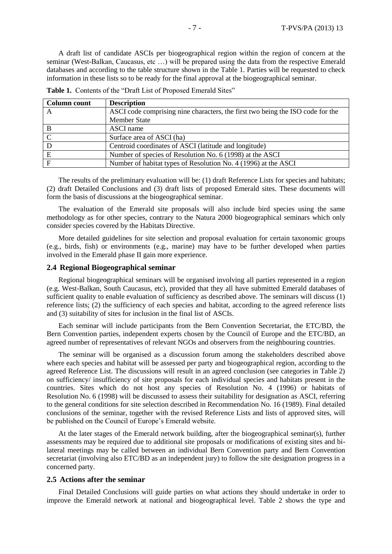A draft list of candidate ASCIs per biogeographical region within the region of concern at the seminar (West-Balkan, Caucasus, etc …) will be prepared using the data from the respective Emerald databases and according to the table structure shown in the Table 1. Parties will be requested to check information in these lists so to be ready for the final approval at the biogeographical seminar.

| Column count | <b>Description</b>                                                             |
|--------------|--------------------------------------------------------------------------------|
| A            | ASCI code comprising nine characters, the first two being the ISO code for the |
|              | <b>Member State</b>                                                            |
| B            | ASCI name                                                                      |
|              | Surface area of ASCI (ha)                                                      |
|              | Centroid coordinates of ASCI (latitude and longitude)                          |
| E            | Number of species of Resolution No. 6 (1998) at the ASCI                       |
| $\mathbf F$  | Number of habitat types of Resolution No. 4 (1996) at the ASCI                 |

Table 1. Contents of the "Draft List of Proposed Emerald Sites"

The results of the preliminary evaluation will be: (1) draft Reference Lists for species and habitats; (2) draft Detailed Conclusions and (3) draft lists of proposed Emerald sites. These documents will form the basis of discussions at the biogeographical seminar.

The evaluation of the Emerald site proposals will also include bird species using the same methodology as for other species, contrary to the Natura 2000 biogeographical seminars which only consider species covered by the Habitats Directive.

More detailed guidelines for site selection and proposal evaluation for certain taxonomic groups (e.g., birds, fish) or environments (e.g., marine) may have to be further developed when parties involved in the Emerald phase II gain more experience.

### **2.4 Regional Biogeographical seminar**

Regional biogeographical seminars will be organised involving all parties represented in a region (e.g. West-Balkan, South Caucasus, etc), provided that they all have submitted Emerald databases of sufficient quality to enable evaluation of sufficiency as described above. The seminars will discuss (1) reference lists; (2) the sufficiency of each species and habitat, according to the agreed reference lists and (3) suitability of sites for inclusion in the final list of ASCIs.

Each seminar will include participants from the Bern Convention Secretariat, the ETC/BD, the Bern Convention parties, independent experts chosen by the Council of Europe and the ETC/BD, an agreed number of representatives of relevant NGOs and observers from the neighbouring countries.

The seminar will be organised as a discussion forum among the stakeholders described above where each species and habitat will be assessed per party and biogeographical region, according to the agreed Reference List. The discussions will result in an agreed conclusion (see categories in Table 2) on sufficiency/ insufficiency of site proposals for each individual species and habitats present in the countries. Sites which do not host any species of Resolution No. 4 (1996) or habitats of Resolution No. 6 (1998) will be discussed to assess their suitability for designation as ASCI, referring to the general conditions for site selection described in Recommendation No. 16 (1989). Final detailed conclusions of the seminar, together with the revised Reference Lists and lists of approved sites, will be published on the Council of Europe's Emerald website.

At the later stages of the Emerald network building, after the biogeographical seminar(s), further assessments may be required due to additional site proposals or modifications of existing sites and bilateral meetings may be called between an individual Bern Convention party and Bern Convention secretariat (involving also ETC/BD as an independent jury) to follow the site designation progress in a concerned party.

#### **2.5 Actions after the seminar**

Final Detailed Conclusions will guide parties on what actions they should undertake in order to improve the Emerald network at national and biogeographical level. Table 2 shows the type and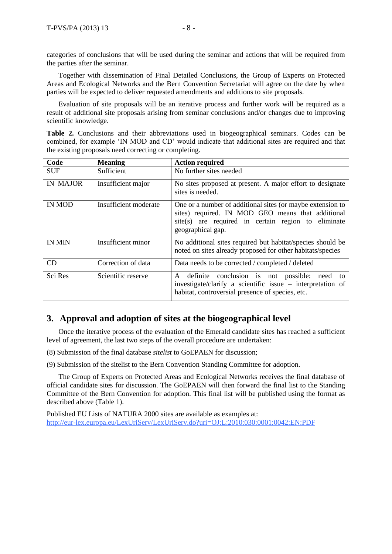categories of conclusions that will be used during the seminar and actions that will be required from the parties after the seminar.

Together with dissemination of Final Detailed Conclusions, the Group of Experts on Protected Areas and Ecological Networks and the Bern Convention Secretariat will agree on the date by when parties will be expected to deliver requested amendments and additions to site proposals.

Evaluation of site proposals will be an iterative process and further work will be required as a result of additional site proposals arising from seminar conclusions and/or changes due to improving scientific knowledge.

Table 2. Conclusions and their abbreviations used in biogeographical seminars. Codes can be combined, for example 'IN MOD and CD' would indicate that additional sites are required and that the existing proposals need correcting or completing.

| Code          | <b>Meaning</b>        | <b>Action required</b>                                                                                                                                                                      |
|---------------|-----------------------|---------------------------------------------------------------------------------------------------------------------------------------------------------------------------------------------|
| <b>SUF</b>    | Sufficient            | No further sites needed                                                                                                                                                                     |
| IN MAJOR      | Insufficient major    | No sites proposed at present. A major effort to designate<br>sites is needed.                                                                                                               |
| <b>IN MOD</b> | Insufficient moderate | One or a number of additional sites (or maybe extension to<br>sites) required. IN MOD GEO means that additional<br>site(s) are required in certain region to eliminate<br>geographical gap. |
| <b>IN MIN</b> | Insufficient minor    | No additional sites required but habitat/species should be<br>noted on sites already proposed for other habitats/species                                                                    |
| <b>CD</b>     | Correction of data    | Data needs to be corrected / completed / deleted                                                                                                                                            |
| Sci Res       | Scientific reserve    | conclusion is not possible: need<br>definite<br>$\mathsf{A}$<br>to<br>investigate/clarify a scientific issue – interpretation of<br>habitat, controversial presence of species, etc.        |

# **3. Approval and adoption of sites at the biogeographical level**

Once the iterative process of the evaluation of the Emerald candidate sites has reached a sufficient level of agreement, the last two steps of the overall procedure are undertaken:

(8) Submission of the final database *sitelist* to GoEPAEN for discussion;

(9) Submission of the sitelist to the Bern Convention Standing Committee for adoption.

The Group of Experts on Protected Areas and Ecological Networks receives the final database of official candidate sites for discussion. The GoEPAEN will then forward the final list to the Standing Committee of the Bern Convention for adoption. This final list will be published using the format as described above (Table 1).

Published EU Lists of NATURA 2000 sites are available as examples at: http://eur-lex.europa.eu/LexUriServ/LexUriServ.do?uri=OJ:L:2010:030:0001:0042:EN:PDF